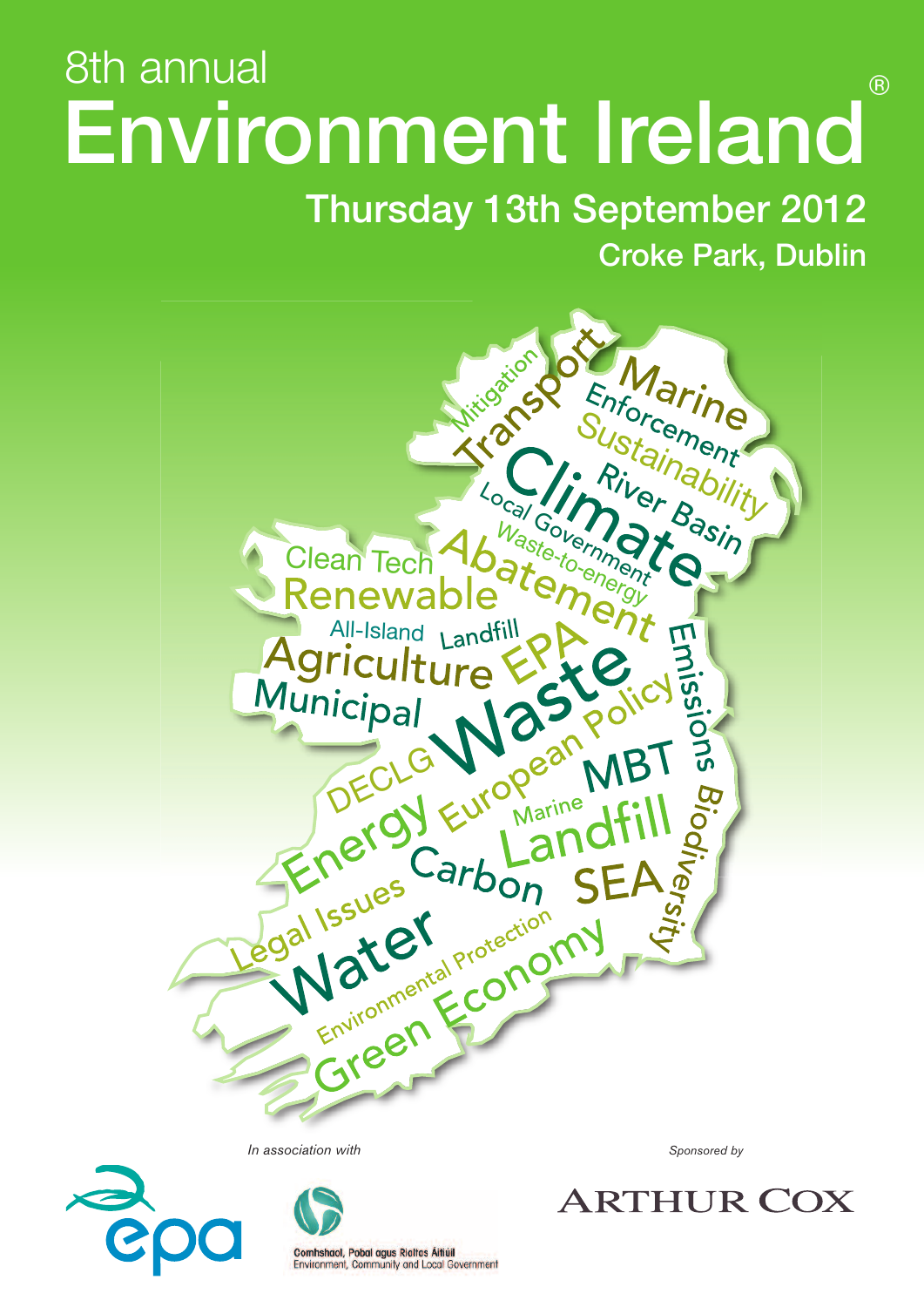# Environment Ireland 8th annual annual and the set of the set of the set of the set of the set of the set of the set of the set of the set of the set of the set of the set of the set of the set of the set of the set of the set of the set of th

# Thursday 13th September 2012 Croke Park, Dublin



*In association with Sponsored by*



Comhshaol, Pobal agus Rialtas Áitiúil Environment, Community and Local Government

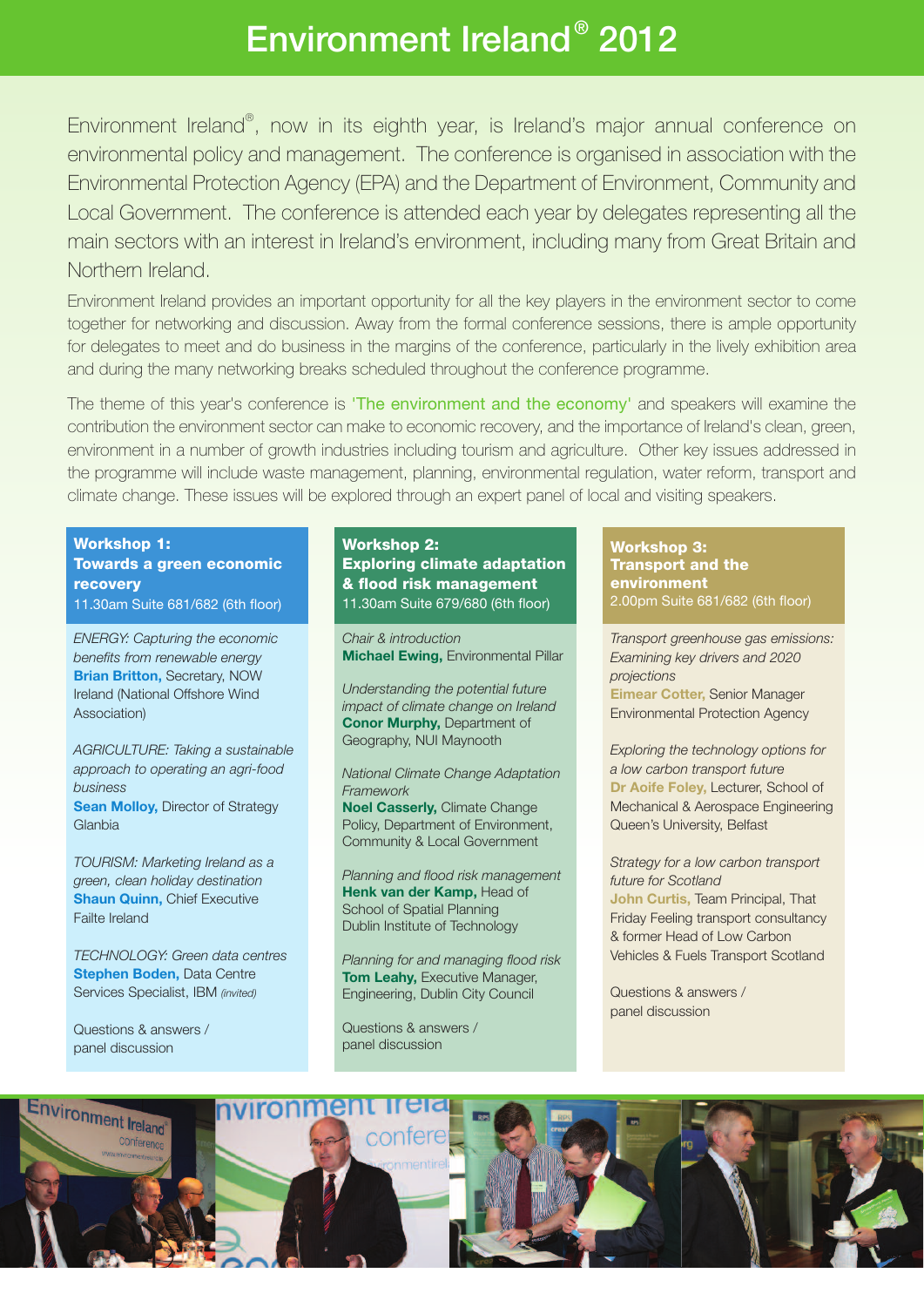# Environment Ireland® 2012

Environment Ireland® , now in its eighth year, is Ireland's major annual conference on environmental policy and management. The conference is organised in association with the Environmental Protection Agency (EPA) and the Department of Environment, Community and Local Government. The conference is attended each year by delegates representing all the main sectors with an interest in Ireland's environment, including many from Great Britain and Northern Ireland.

Environment Ireland provides an important opportunity for all the key players in the environment sector to come together for networking and discussion. Away from the formal conference sessions, there is ample opportunity for delegates to meet and do business in the margins of the conference, particularly in the lively exhibition area and during the many networking breaks scheduled throughout the conference programme.

The theme of this year's conference is 'The environment and the economy' and speakers will examine the contribution the environment sector can make to economic recovery, and the importance of Ireland's clean, green, environment in a number of growth industries including tourism and agriculture. Other key issues addressed in the programme will include waste management, planning, environmental regulation, water reform, transport and climate change. These issues will be explored through an expert panel of local and visiting speakers.

**Workshop 1: Towards a green economic recovery**

11.30am Suite 681/682 (6th floor)

*ENERGY: Capturing the economic benefits from renewable energy* **Brian Britton,** Secretary, NOW Ireland (National Offshore Wind Association)

*AGRICULTURE: Taking a sustainable approach to operating an agri-food business*

**Sean Molloy, Director of Strategy Glanbia** 

*TOURISM: Marketing Ireland as a green, clean holiday destination* **Shaun Quinn,** Chief Executive Failte Ireland

*TECHNOLOGY: Green data centres* **Stephen Boden,** Data Centre Services Specialist, IBM *(invited)*

Questions & answers / panel discussion

#### **Workshop 2: Exploring climate adaptation & flood risk management** 11.30am Suite 679/680 (6th floor)

*Chair & introduction* **Michael Ewing,** Environmental Pillar

*Understanding the potential future impact of climate change on Ireland* **Conor Murphy,** Department of Geography, NUI Maynooth

*National Climate Change Adaptation Framework* **Noel Casserly,** Climate Change Policy, Department of Environment, Community & Local Government

*Planning and flood risk management* **Henk van der Kamp,** Head of School of Spatial Planning Dublin Institute of Technology

*Planning for and managing flood risk* **Tom Leahy,** Executive Manager, Engineering, Dublin City Council

Questions & answers / panel discussion

**Workshop 3: Transport and the environment** 2.00pm Suite 681/682 (6th floor)

*Transport greenhouse gas emissions: Examining key drivers and 2020 projections* **Eimear Cotter,** Senior Manager Environmental Protection Agency

*Exploring the technology options for a low carbon transport future* **Dr Aoife Foley,** Lecturer, School of Mechanical & Aerospace Engineering Queen's University, Belfast

*Strategy for a low carbon transport future for Scotland* **John Curtis,** Team Principal, That Friday Feeling transport consultancy & former Head of Low Carbon Vehicles & Fuels Transport Scotland

Questions & answers / panel discussion

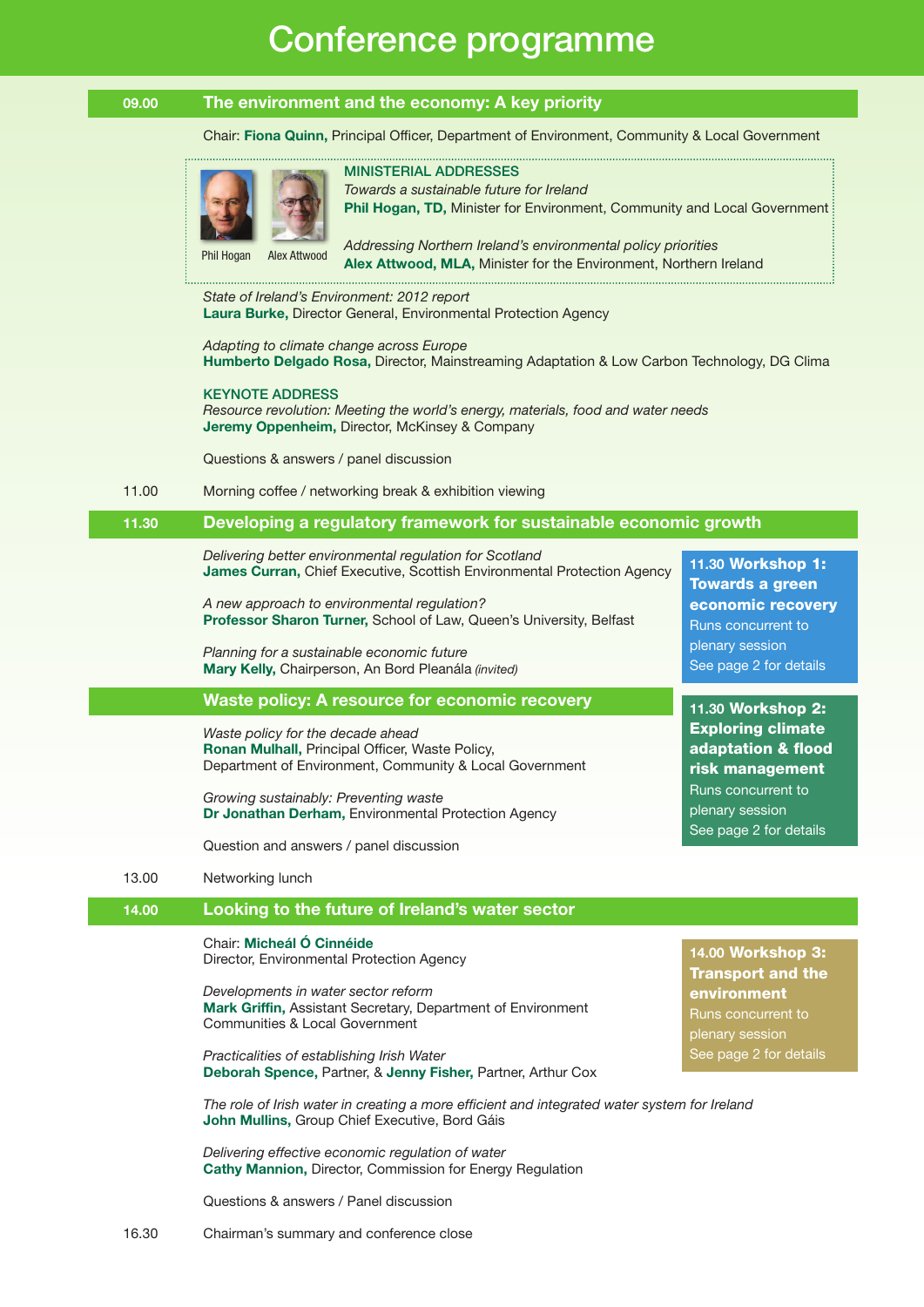# Conference programme

#### **09.00 The environment and the economy: A key priority**Ī

#### Chair: **Fiona Quinn,** Principal Officer, Department of Environment, Community & Local Government

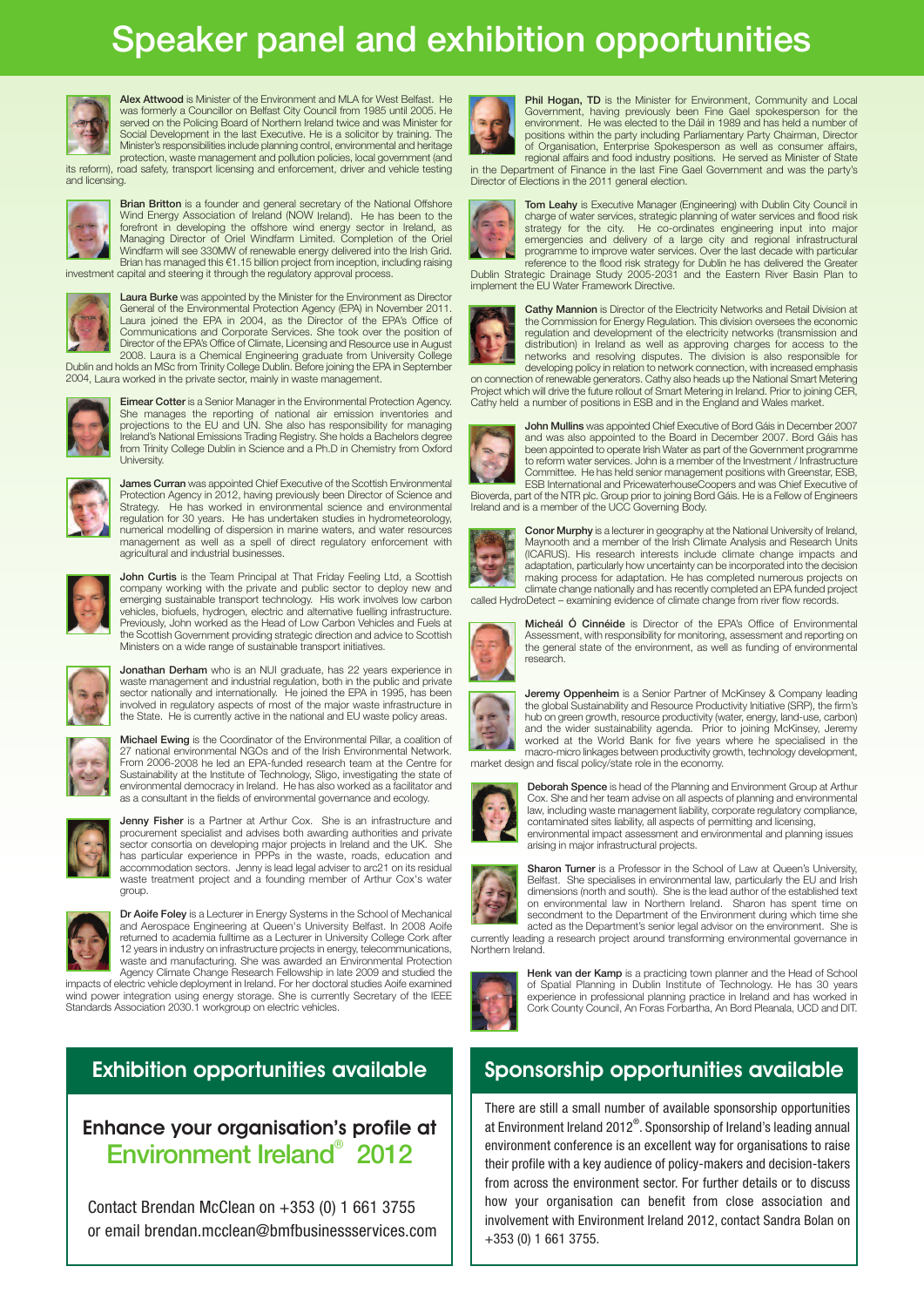# Speaker panel and exhibition opportunities



Alex Attwood is Minister of the Environment and MLA for West Belfast. H was formerly <sup>a</sup> Councillor on Belfast City Council from 1985 until 2005. He served on the Policing Board of Northern Ireland twice and was Minister for Social Development in the last Executive. He is <sup>a</sup> solicitor by training. The Minister's responsibilities include planning control, environmental and heritage protection, waste management and pollution policies, local government (and its reform), road safety, transport licensing and enforcement, driver and vehicle testing

and licensing.



Brian Britton is a founder and general secretary of the National Offshore Wind Energy Association of Ireland (NOW Ireland). He has been to the forefront in developing the offshore wind energy sector in Ireland, as Managing Director of Oriel Windfarm Limited. Completion of the Oriel Windfarm will see 330MW of renewable energy delivered into the Irish Grid. Brian has managed this €1.15 billion project from inception, including raising investment capital and steering it through the regulatory approval process.



**Laura Burke** was appointed by the Minister for the Environment as Director<br>General of the Environmental Protection Agency (EPA) in November 2011. Laura joined the EPA in 2004, as the Director of the EPA's Office of Communications and Corporate Services. She took over the position of Director of the EPA's Office of Climate, Licensing and Resource use in August

2008. Laura is <sup>a</sup> Chemical Engineering graduate from University College Dublin and holds an MSc from Trinity College Dublin. Before joining the EPA in September 2004, Laura worked in the private sector, mainly in waste management.



**Eimear Cotter** is a Senior Manager in the Environmental Protection Agency.<br>She manages the reporting of national air emission inventories and projections to the EU and UN. She also has responsibility for managing Ireland's National Emissions Trading Registry. She holds <sup>a</sup> Bachelors degree from Trinity College Dublin in Science and <sup>a</sup> Ph.D in Chemistry from Oxford **University** 



James Curran was appointed Chief Executive of the Scottish Environmental Protection Agency in 2012, having previously been Director of Science and Strategy. He has worked in environmental science and environmental regulation for 30 years. He has undertaken studies in hydrometeorology, numerical modelling of dispersion in marine waters, and water resources management as well as <sup>a</sup> spell of direct regulatory enforcement with agricultural and industrial businesses.



**John Curtis** is the Team Principal at That Friday Feeling Ltd, a Scottish<br>company working with the private and public sector to deploy new and emerging sustainable transport technology. His work involves low carbon vehicles, biofuels, hydrogen, electric and alternative fuelling infrastructure. Previously, John worked as the Head of Low Carbon Vehicles and Fuels at the Scottish Government providing strategic direction and advice to Scottish Ministers on <sup>a</sup> wide range of sustainable transport initiatives.



Jonathan Derham who is an NUI graduate, has 22 years experience in waste management and industrial regulation, both in the public and private sector nationally and internationally. He joined the EPA in 1995, has been involved in regulatory aspects of most of the major waste infrastructure in the State. He is currently active in the national and EU waste policy areas.



Michael Ewing is the Coordinator of the Environmental Pillar, <sup>a</sup> coalition of 27 national environmental NGOs and of the Irish Environmental Network. From 2006-2008 he led an EPA-funded research team at the Centre for Sustainability at the Institute of Technology, Sligo, investigating the state of environmental democracy in Ireland. He has also worked as <sup>a</sup> facilitator and as <sup>a</sup> consultant in the fields of environmental governance and ecology.



Jenny Fisher is a Partner at Arthur Cox. She is an infrastructure and procurement specialist and advises both awarding authorities and private sector consortia on developing major projects in Ireland and the UK. has particular experience in PPPs in the waste, roads, education and accommodation sectors. Jenny is lead legal adviser to arc21 on its residual waste treatment project and <sup>a</sup> founding member of Arthur Cox's water group.



Dr Aoife Foley is a Lecturer in Energy Systems in the School of Mechanical and Aerospace Engineering at Queen's University Belfast. In 2008 Aoife returned to academia fulltime as <sup>a</sup> Lecturer in University College Cork after 12 years in industry on infrastructure projects in energy, telecommunications, waste and manufacturing. She was awarded an Environmental Protection Agency Climate Change Research Fellowship in late 2009 and studied the impacts of electric vehicle deployment in Ireland. For her doctoral studies Aoife examined

wind power integration using energy storage. She is currently Secretary of the IEEE Standards Association 2030.1 workgroup on electric vehicles.

### **Exhibition opportunities available**

### **Enhance your organisation's profile at** Environment Ireland® 2012

Contact Brendan McClean on +353 (0) 1 661 3755 or email brendan.mcclean@bmfbusinessservices.com



Phil Hogan, TD is the Minister for Environment, Community and Local Government, having previously been Fine Gael spokesperson for the environment. He was elected to the Dáil in 1989 and has held a number of positions within the party including Parliamentary Party Chairman, Director of Organisation, Enterprise Spokesperson as well as consumer affairs, regional affairs and food industry positions. He served as Minister of State<br>in the Department of Finance in the last Fine Gael Government and was the p

Director of Elections in the 2011 general election.



Tom Leahy is Executive Manager (Engineering) with Dublin City Council in charge of water services, strategic planning of water services and flood risk strategy for the city. He co-ordinates engineering input into major emergencies and delivery of a large city and regional infrastructural programme to improve water services. Over the last decade with particular reference to the flood risk strategy for Dublin he has delivered the Greater<br>Dublin Strategic Drainage Study 2005-2031 and the Eastern River Basin P implement the EU Water Framework Directive.



Cathy Mannion is Director of the Electricity Networks and Retail Division at the Commission for Energy Regulation. This division oversees the economic regulation and development of the electricity networks (transmission and distribution) in Ireland as well as approving charges for access to the networks and resolving disputes. The division is also responsible for developing policy in relation to network connection, with increased emphasis

on connection of renewable generators. Cathy also heads up the National Smart Metering Project which will drive the future rollout of Smart Metering in Ireland. Prior to joining CER, Cathy held a number of positions in ESB and in the England and Wales market.



John Mullins was appointed Chief Executive of Bord Gáis in December 2007 and was also appointed to the Board in December 2007. Bord Gáis has been appointed to operate Irish Water as part of the Government programme to reform water services. John is a member of the Investment / Infrastructure Committee. He has held senior management positions with Greenstar, ESB, ESB International and PricewaterhouseCoopers and was Chief Executive of Bioverda, part of the NTR plc. Group prior to joining Bord Gáis. He is a Fellow of Engineers Ireland and is a member of the UCC Governing Body.

Conor Murphy is a lecturer in geography at the National University of Ireland, Maynooth and a member of the Irish Climate Analysis and Research Units (ICARUS). His research interests include climate change impacts and adaptation, particularly how uncertainty can be incorporated into the decision making process for adaptation. He has completed numerous projects on climate change nationally and has recently completed an EPA funded project called HydroDetect – examining evidence of climate change from river flow records.



Micheál Ó Cinnéide is Director of the EPA's Office of Environmental Assessment, with responsibility for monitoring, assessment and reporting on the general state of the environment, as well as funding of environmental research.



**Jeremy Oppenheim** is a Senior Partner of McKinsey & Company leading the global Sustainability and Resource Productivity Initiative (SRP), the firm's hub on green growth, resource productivity (water, energy, land-use, carbon) and the wider sustainability agenda. Prior to joining McKinsey, Jeremy worked at the World Bank for five years where he specialised in the macro-micro linkages between productivity growth, technology development, market design and fiscal policy/state role in the economy.



Deborah Spence is head of the Planning and Environment Group at Arthur<br>Cox. She and her team advise on all aspects of planning and environmental law, including waste management liability, corporate regulatory compliance, contaminated sites liability, all aspects of permitting and licensing, environmental impact assessment and environmental and planning issues arising in major infrastructural projects.



**Sharon Turner** is a Professor in the School of Law at Queen's University. Belfast. She specialises in environmental law, particularly the EU and Irish dimensions (north and south). She is the lead author of the established text on environmental law in Northern Ireland. Sharon has spent time on secondment to the Department of the Environment during which time she acted as the Department's senior legal advisor on the environment. She is currently leading a research project around transforming environmental governance in

Northern Ireland.



Henk van der Kamp is a practicing town planner and the Head of School of Spatial Planning in Dublin Institute of Technology. He has 30 years experience in professional planning practice in Ireland and has worked in Cork County Council, An Foras Forbartha, An Bord Pleanala, UCD and DIT.

### **Sponsorship opportunities available**

There are still a small number of available sponsorship opportunities at Environment Ireland 2012®. Sponsorship of Ireland's leading annual environment conference is an excellent way for organisations to raise their profile with a key audience of policy-makers and decision-takers from across the environment sector. For further details or to discuss how your organisation can benefit from close association and involvement with Environment Ireland 2012, contact Sandra Bolan on +353 (0) 1 661 3755.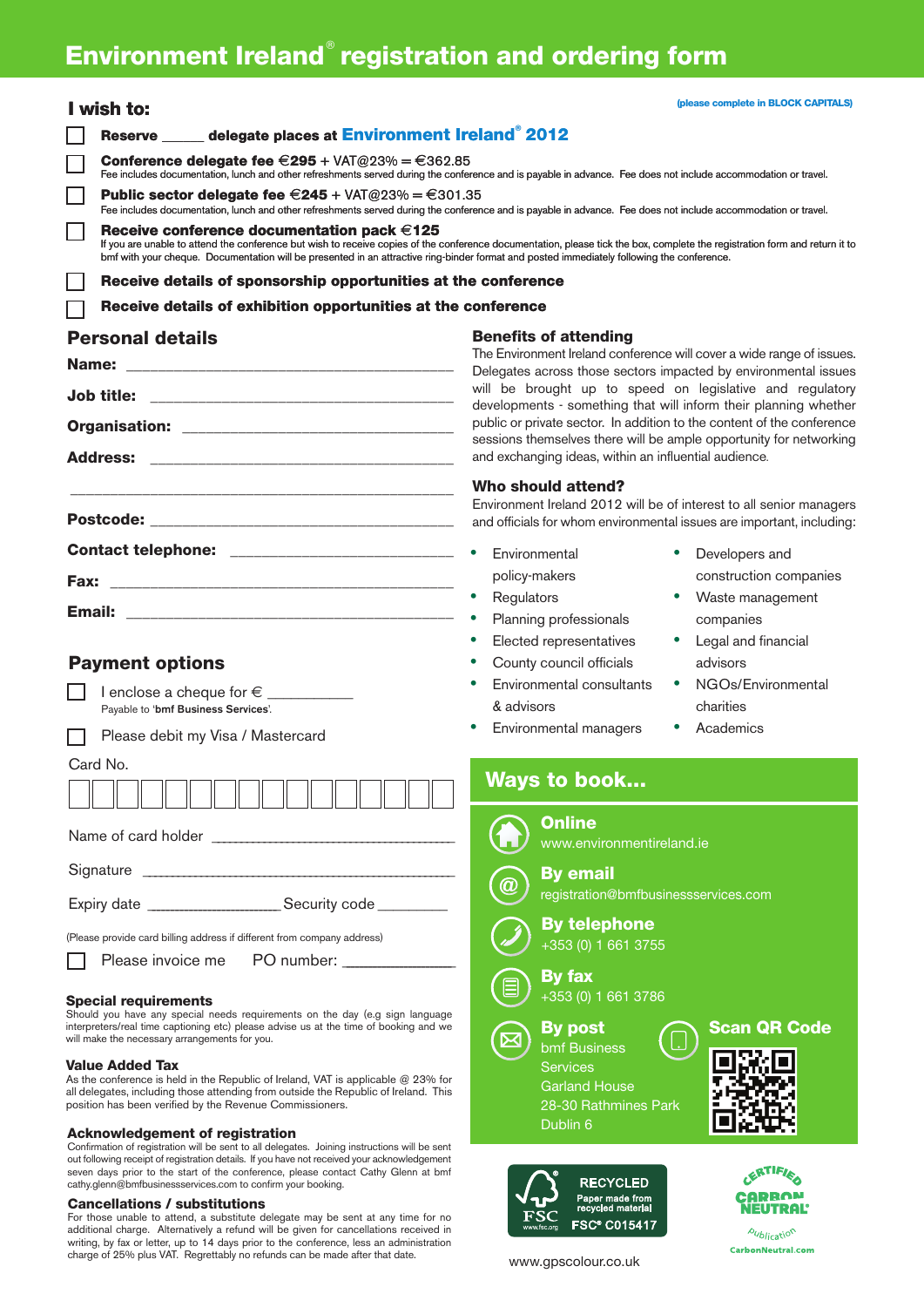## **Environment Ireland registration and ordering form** ®

| I wish to:                                                                                                                                                                                         | (please complete in BLOCK CAPITALS)                                                                                                                                         |  |
|----------------------------------------------------------------------------------------------------------------------------------------------------------------------------------------------------|-----------------------------------------------------------------------------------------------------------------------------------------------------------------------------|--|
| Reserve _____ delegate places at Environment Ireland® 2012                                                                                                                                         |                                                                                                                                                                             |  |
| <b>Conference delegate fee <math>\epsilon</math>295 + VAT@23% = <math>\epsilon</math>362.85</b>                                                                                                    |                                                                                                                                                                             |  |
|                                                                                                                                                                                                    | Fee includes documentation, lunch and other refreshments served during the conference and is payable in advance. Fee does not include accommodation or travel.              |  |
| Public sector delegate fee $E$ 245 + VAT@23% = $E$ 301.35                                                                                                                                          | Fee includes documentation, lunch and other refreshments served during the conference and is payable in advance. Fee does not include accommodation or travel.              |  |
| Г<br>Receive conference documentation pack $\in$ 125<br>bmf with your cheque. Documentation will be presented in an attractive ring-binder format and posted immediately following the conference. | If you are unable to attend the conference but wish to receive copies of the conference documentation, please tick the box, complete the registration form and return it to |  |
| Receive details of sponsorship opportunities at the conference                                                                                                                                     |                                                                                                                                                                             |  |
| Receive details of exhibition opportunities at the conference                                                                                                                                      |                                                                                                                                                                             |  |
| <b>Personal details</b>                                                                                                                                                                            | <b>Benefits of attending</b>                                                                                                                                                |  |
| Name:                                                                                                                                                                                              | The Environment Ireland conference will cover a wide range of issues.<br>Delegates across those sectors impacted by environmental issues                                    |  |
| <b>Job title:</b>                                                                                                                                                                                  | will be brought up to speed on legislative and regulatory<br>developments - something that will inform their planning whether                                               |  |
|                                                                                                                                                                                                    | public or private sector. In addition to the content of the conference                                                                                                      |  |
| <b>Address:</b>                                                                                                                                                                                    | sessions themselves there will be ample opportunity for networking<br>and exchanging ideas, within an influential audience.                                                 |  |
|                                                                                                                                                                                                    |                                                                                                                                                                             |  |
|                                                                                                                                                                                                    | Who should attend?<br>Environment Ireland 2012 will be of interest to all senior managers                                                                                   |  |
|                                                                                                                                                                                                    | and officials for whom environmental issues are important, including:                                                                                                       |  |
|                                                                                                                                                                                                    | Environmental<br>Developers and                                                                                                                                             |  |
| <b>Fax:</b>                                                                                                                                                                                        | policy-makers<br>construction companies                                                                                                                                     |  |
|                                                                                                                                                                                                    | Regulators<br>Waste management                                                                                                                                              |  |
|                                                                                                                                                                                                    | Planning professionals<br>companies                                                                                                                                         |  |
|                                                                                                                                                                                                    | Elected representatives<br>Legal and financial                                                                                                                              |  |
| <b>Payment options</b>                                                                                                                                                                             | County council officials<br>advisors                                                                                                                                        |  |
| Payable to 'bmf Business Services'.                                                                                                                                                                | Environmental consultants<br>NGOs/Environmental<br>& advisors<br>charities                                                                                                  |  |
| Please debit my Visa / Mastercard                                                                                                                                                                  | Academics<br>Environmental managers                                                                                                                                         |  |
| Card No.                                                                                                                                                                                           |                                                                                                                                                                             |  |
|                                                                                                                                                                                                    | Ways to book                                                                                                                                                                |  |
|                                                                                                                                                                                                    | <b>Online</b><br>www.environmentireland.ie                                                                                                                                  |  |
|                                                                                                                                                                                                    | <b>By email</b><br>$^{\textregistered}$                                                                                                                                     |  |
|                                                                                                                                                                                                    | registration@bmfbusinessservices.com                                                                                                                                        |  |
| (Please provide card billing address if different from company address)                                                                                                                            | <b>By telephone</b><br>+353 (0) 1 661 3755                                                                                                                                  |  |
| PO number: ________________<br>Please invoice me                                                                                                                                                   |                                                                                                                                                                             |  |
|                                                                                                                                                                                                    | <b>By fax</b><br>目<br>+353 (0) 1 661 3786                                                                                                                                   |  |
| <b>Special requirements</b><br>Should you have any special needs requirements on the day (e.g sign language                                                                                        |                                                                                                                                                                             |  |
| interpreters/real time captioning etc) please advise us at the time of booking and we<br>will make the necessary arrangements for you.                                                             | <b>Scan QR Code</b><br><b>By post</b><br>bmf Business                                                                                                                       |  |
| <b>Value Added Tax</b>                                                                                                                                                                             | 回路回<br>Services                                                                                                                                                             |  |

As the conference is held in the Republic of Ireland, VAT is applicable @ 23% for all delegates, including those attending from outside the Republic of Ireland. This position has been verified by the Revenue Commissioners.

#### **Acknowledgement of registration**

Confirmation of registration will be sent to all delegates. Joining instructions will be sent out following receipt of registration details. If you have not received your acknowledgement seven days prior to the start of the conference, please contact Cathy Glenn at bmf cathy.glenn@bmfbusinessservices.com to confirm your booking.

**Cancellations / substitutions** For those unable to attend, a substitute delegate may be sent at any time for no additional charge. Alternatively a refund will be given for cancellations received in writing, by fax or letter, up to 14 days prior to the conference, less an administration charge of 25% plus VAT. Regrettably no refunds can be made after that date.

www.gpscolour.co.uk

**RECYCLED** 

Paper made from **FSC® C015417** 

Garland House 28-30 Rathmines Park

Dublin 6



**Aublication** CarbonNeutral.com